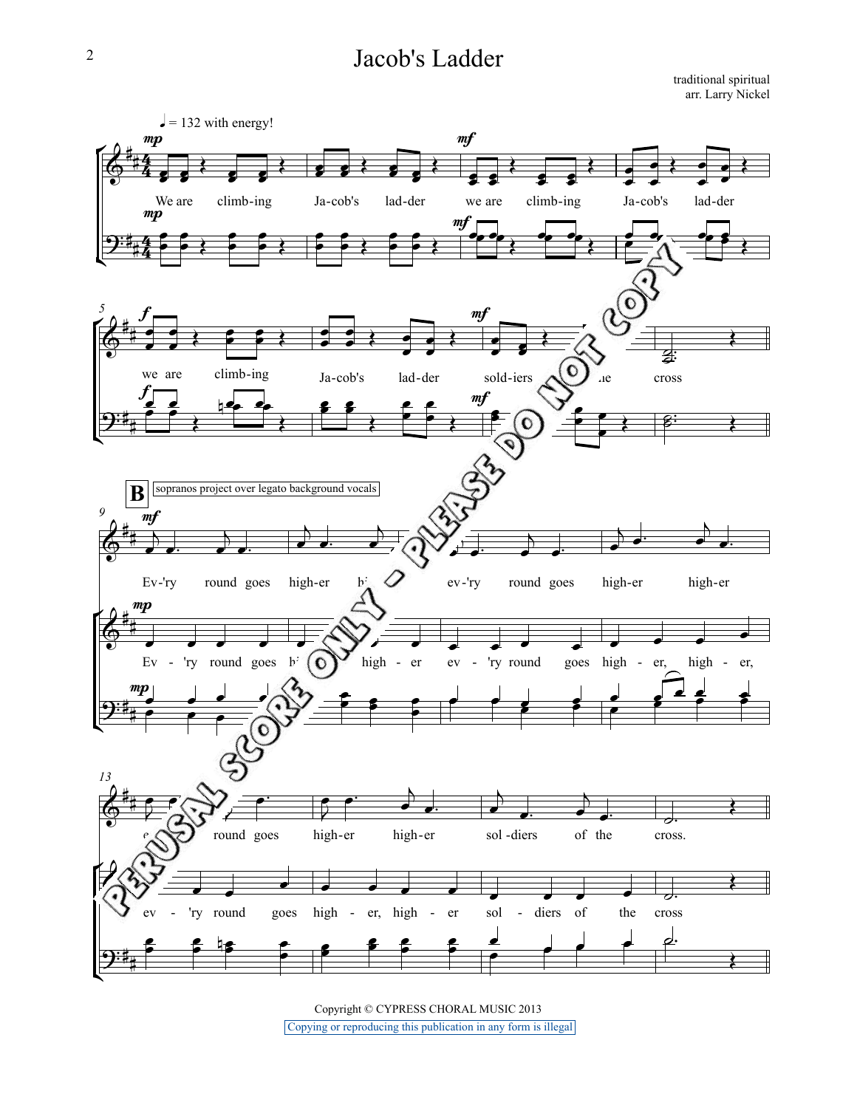## Jacob's Ladder

traditional spiritual arr. Larry Nickel



Copyright © CYPRESS CHORAL MUSIC 2013 Copying or reproducing this publication in any form is illegal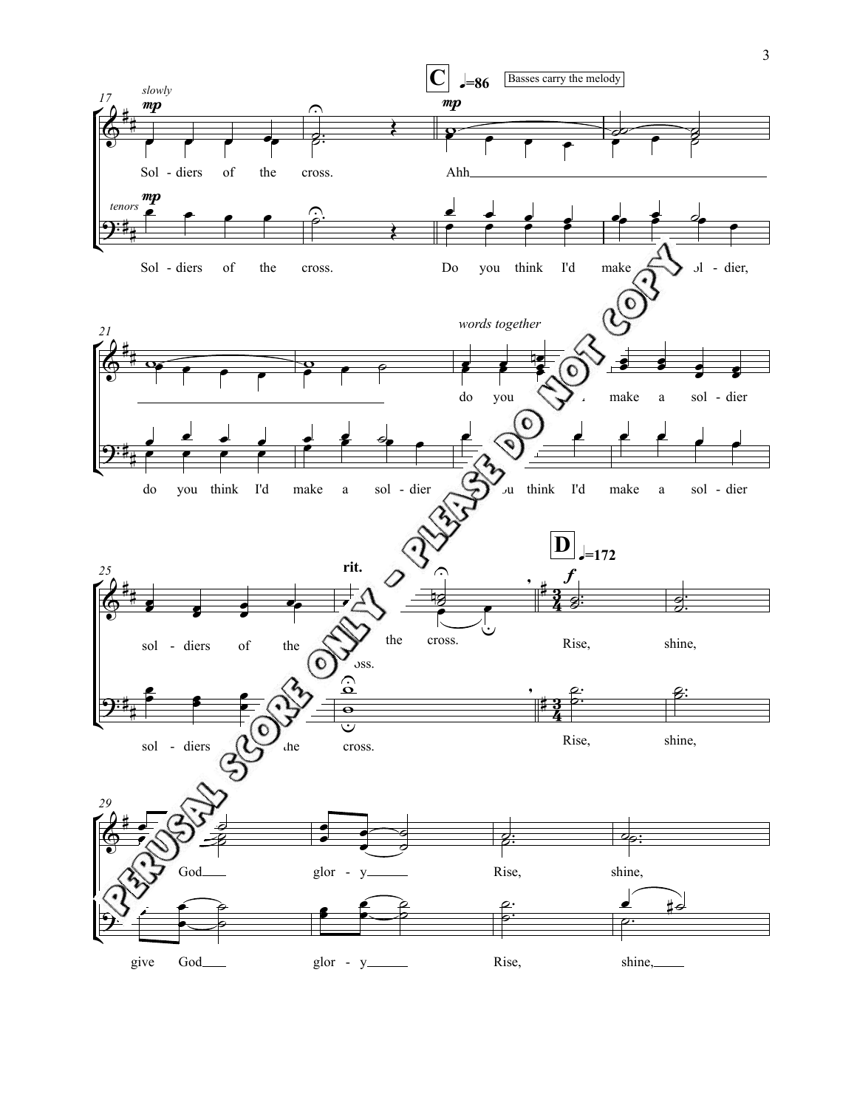

3